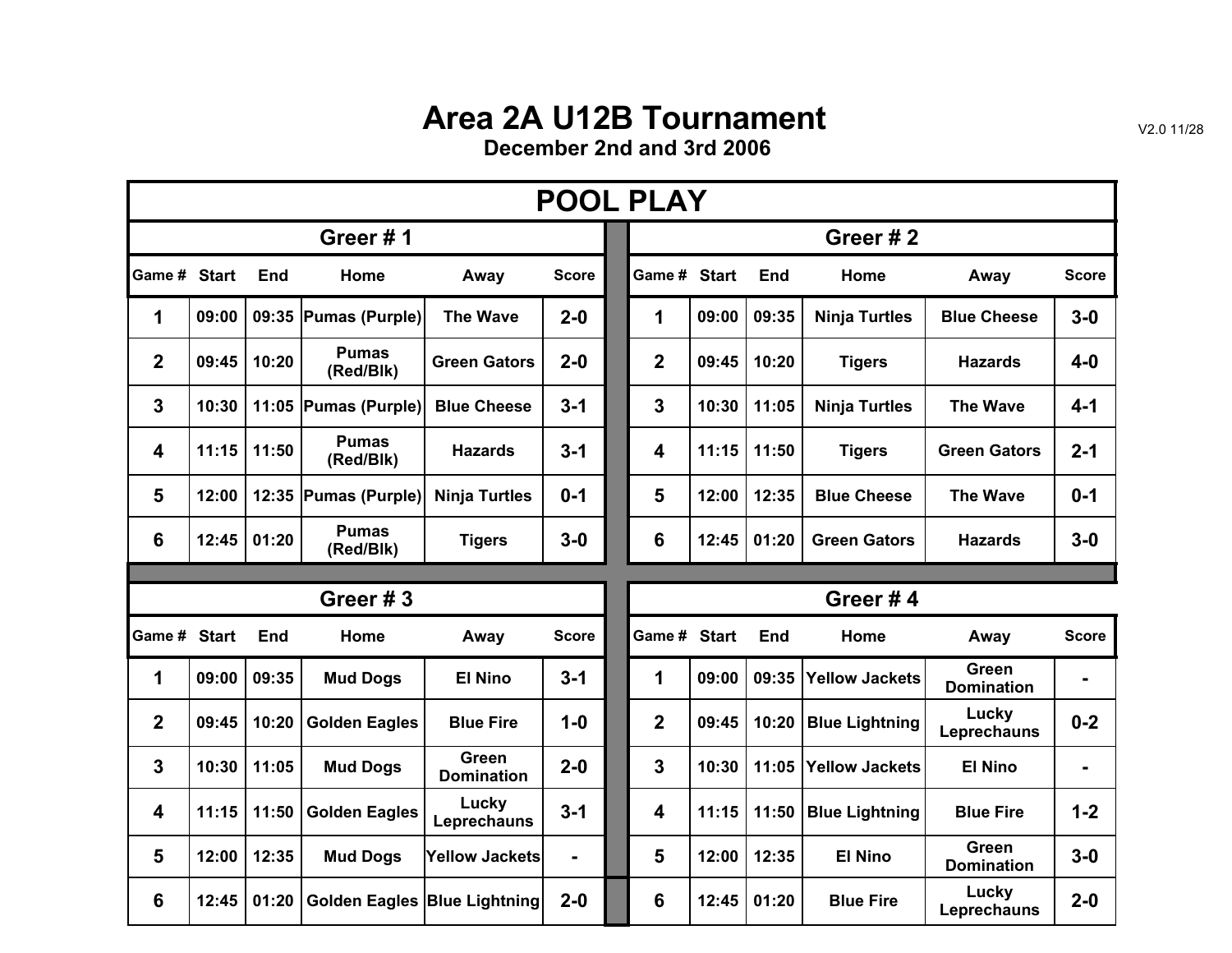## **Area 2A U12B Tournament**

**December 2nd and 3rd 2006**

| <b>POOL PLAY</b> |       |            |                           |                                   |              |  |                |       |            |                       |                            |                |  |  |  |
|------------------|-------|------------|---------------------------|-----------------------------------|--------------|--|----------------|-------|------------|-----------------------|----------------------------|----------------|--|--|--|
|                  |       |            | Greer#1                   |                                   |              |  | Greer#2        |       |            |                       |                            |                |  |  |  |
| Game # Start     |       | <b>End</b> | Home                      | Away                              | <b>Score</b> |  | Game # Start   |       | End        | Home                  | Away                       | <b>Score</b>   |  |  |  |
| 1                | 09:00 |            | 09:35 Pumas (Purple)      | <b>The Wave</b>                   | $2 - 0$      |  | 1              | 09:00 | 09:35      | <b>Ninja Turtles</b>  | <b>Blue Cheese</b>         | $3-0$          |  |  |  |
| $\mathbf{2}$     | 09:45 | 10:20      | <b>Pumas</b><br>(Red/Blk) | <b>Green Gators</b>               | $2 - 0$      |  | $\overline{2}$ | 09:45 | 10:20      | <b>Tigers</b>         | <b>Hazards</b>             | $4-0$          |  |  |  |
| $\overline{3}$   | 10:30 |            | 11:05 Pumas (Purple)      | <b>Blue Cheese</b>                | $3 - 1$      |  | 3              | 10:30 | 11:05      | <b>Ninja Turtles</b>  | <b>The Wave</b>            | $4 - 1$        |  |  |  |
| 4                | 11:15 | 11:50      | <b>Pumas</b><br>(Red/Blk) | <b>Hazards</b>                    | $3 - 1$      |  | 4              | 11:15 | 11:50      | <b>Tigers</b>         | <b>Green Gators</b>        | $2 - 1$        |  |  |  |
| 5                | 12:00 |            | 12:35 Pumas (Purple)      | <b>Ninja Turtles</b>              | $0 - 1$      |  | 5              | 12:00 | 12:35      | <b>Blue Cheese</b>    | <b>The Wave</b>            | $0 - 1$        |  |  |  |
| 6                | 12:45 | 01:20      | <b>Pumas</b><br>(Red/Blk) | <b>Tigers</b>                     | $3-0$        |  | 6              | 12:45 | 01:20      | <b>Green Gators</b>   | <b>Hazards</b>             | $3-0$          |  |  |  |
|                  |       |            |                           |                                   |              |  |                |       |            |                       |                            |                |  |  |  |
|                  |       |            | Greer#3                   |                                   |              |  |                |       |            | Greer#4               |                            |                |  |  |  |
| Game # Start     |       | <b>End</b> | Home                      | Away                              | <b>Score</b> |  | Game # Start   |       | <b>End</b> | Home                  | Away                       | <b>Score</b>   |  |  |  |
| 1                | 09:00 | 09:35      | <b>Mud Dogs</b>           | <b>El Nino</b>                    | $3 - 1$      |  | 1              | 09:00 | 09:35      | <b>Yellow Jackets</b> | Green<br><b>Domination</b> | $\blacksquare$ |  |  |  |
| $\overline{2}$   | 09:45 | 10:20      | <b>Golden Eagles</b>      | <b>Blue Fire</b>                  | $1 - 0$      |  | $\mathbf{2}$   | 09:45 | 10:20      | <b>Blue Lightning</b> | Lucky<br>Leprechauns       | $0 - 2$        |  |  |  |
| $\overline{3}$   | 10:30 | 11:05      | <b>Mud Dogs</b>           | <b>Green</b><br><b>Domination</b> | $2 - 0$      |  | 3              | 10:30 | 11:05      | <b>Yellow Jackets</b> | <b>El Nino</b>             | -              |  |  |  |
| 4                | 11:15 | 11:50      | <b>Golden Eagles</b>      | Lucky<br>Leprechauns              | $3 - 1$      |  | 4              | 11:15 | 11:50      | <b>Blue Lightning</b> | <b>Blue Fire</b>           | $1 - 2$        |  |  |  |
| 5                | 12:00 | 12:35      | <b>Mud Dogs</b>           | <b>Yellow Jackets</b>             |              |  | 5              | 12:00 | 12:35      | <b>El Nino</b>        | Green<br><b>Domination</b> | $3-0$          |  |  |  |
| 6                | 12:45 | 01:20      |                           | Golden Eagles Blue Lightning      | $2 - 0$      |  | 6              | 12:45 | 01:20      | <b>Blue Fire</b>      | Lucky<br>Leprechauns       | $2 - 0$        |  |  |  |

V2.0 11/28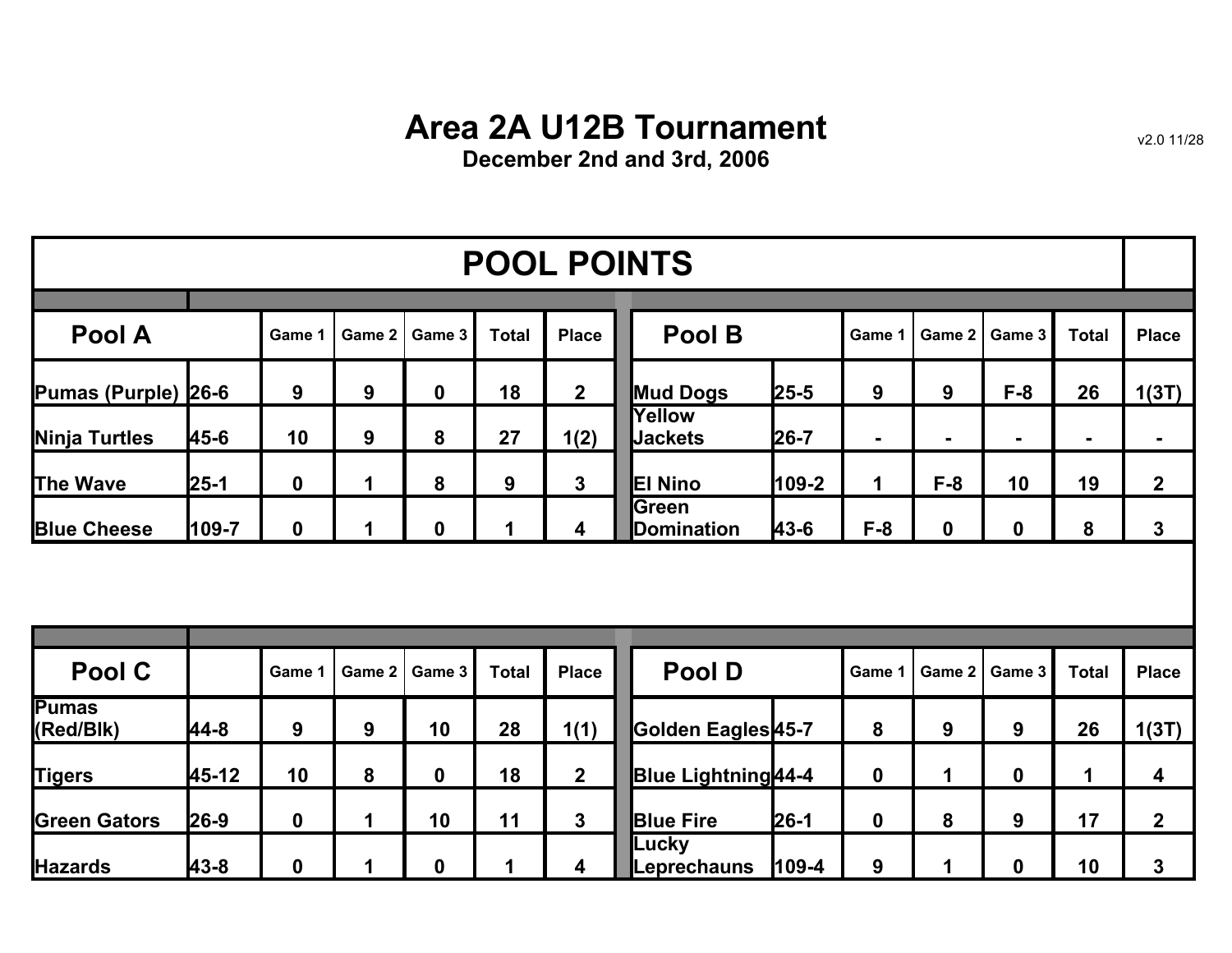## **Area 2A U12B Tournament**

**December 2nd and 3rd, 2006**

| <b>POOL POINTS</b>  |          |             |        |             |              |                |                             |          |             |             |                 |              |                |
|---------------------|----------|-------------|--------|-------------|--------------|----------------|-----------------------------|----------|-------------|-------------|-----------------|--------------|----------------|
| Pool A              |          | Game 1      | Game 2 | Game 3      | <b>Total</b> | <b>Place</b>   | Pool B                      |          | Game 1      |             | Game 2   Game 3 | <b>Total</b> | <b>Place</b>   |
| Pumas (Purple) 26-6 |          | 9           | 9      | $\mathbf 0$ | 18           | $\overline{2}$ | <b>Mud Dogs</b>             | $25 - 5$ | 9           | 9           | $F-8$           | 26           | 1(3T)          |
| Ninja Turtles       | 45-6     | 10          | 9      | 8           | 27           | 1(2)           | Yellow<br><b>Jackets</b>    | $26 - 7$ | ۰           |             | ۰               | ۰.           | ж.             |
| <b>The Wave</b>     | $25 - 1$ | $\mathbf 0$ |        | 8           | 9            | 3              | <b>El Nino</b>              | $109-2$  | $\mathbf 1$ | $F-8$       | 10              | 19           | $\overline{2}$ |
| <b>Blue Cheese</b>  | 109-7    | $\mathbf 0$ |        | 0           |              | 4              | <b>S</b> reen<br>Domination | 43-6     | $F-8$       | $\mathbf 0$ | $\bf{0}$        | 8            | $\mathbf{3}$   |
|                     |          |             |        |             |              |                |                             |          |             |             |                 |              |                |
|                     |          |             |        |             |              |                |                             |          |             |             |                 |              |                |

| Pool C                    |          | Game 1      |   | Game 2   Game 3 | <b>Total</b> | <b>Place</b> | <b>Pool D</b>                 | Game 1         |   | Game 2   Game 3 | <b>Total</b> | <b>Place</b> |
|---------------------------|----------|-------------|---|-----------------|--------------|--------------|-------------------------------|----------------|---|-----------------|--------------|--------------|
| <b>Pumas</b><br>(Red/Blk) | 44-8     | 9           | 9 | 10              | 28           | 1(1)         | Golden Eagles <sup>45-7</sup> | 8              | 9 | 9               | 26           | 1(3T)        |
| <b>Tigers</b>             | 45-12    | 10          | 8 | 0               | 18           | 2            | <b>Blue Lightning</b> 44-4    | 0              |   | Ω               |              | 4            |
| <b>Green Gators</b>       | $26 - 9$ | $\mathbf 0$ |   | 10              | 11           |              | $26-1$<br><b>Blue Fire</b>    | 0              | 8 | 9               | 17           | $\mathbf 2$  |
| <b>Hazards</b>            | 43-8     | $\bf{0}$    |   | 0               |              |              | Lucky<br>Leprechauns          | $109 - 4$<br>9 |   |                 | 10           | 3            |